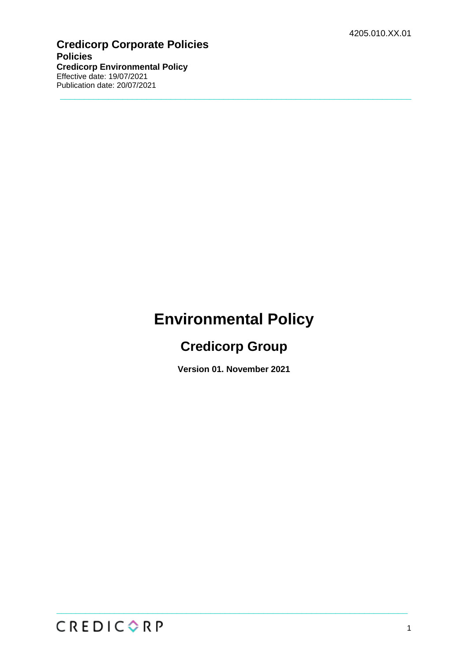#### **Credicorp Corporate Policies Policies Credicorp Environmental Policy** Effective date: 19/07/2021 Publication date: 20/07/2021

# **Environmental Policy**

 $\_$  , and the set of the set of the set of the set of the set of the set of the set of the set of the set of the set of the set of the set of the set of the set of the set of the set of the set of the set of the set of th

## **Credicorp Group**

**Version 01. November 2021**

 $\_$  , and the set of the set of the set of the set of the set of the set of the set of the set of the set of the set of the set of the set of the set of the set of the set of the set of the set of the set of the set of th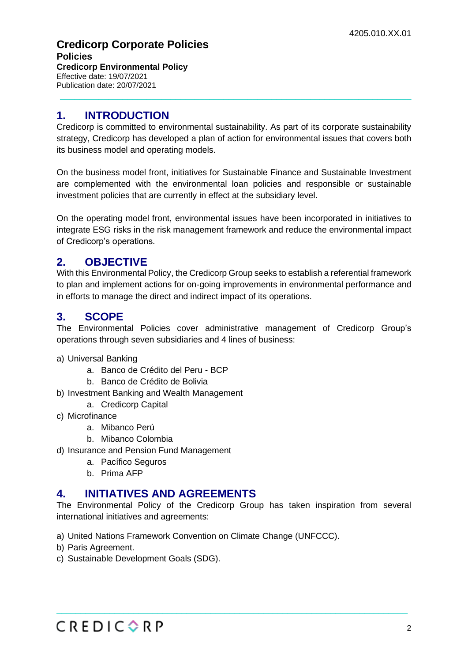#### **Credicorp Corporate Policies Policies Credicorp Environmental Policy** Effective date: 19/07/2021 Publication date: 20/07/2021

#### **1. INTRODUCTION**

Credicorp is committed to environmental sustainability. As part of its corporate sustainability strategy, Credicorp has developed a plan of action for environmental issues that covers both its business model and operating models.

 $\_$  , and the set of the set of the set of the set of the set of the set of the set of the set of the set of the set of the set of the set of the set of the set of the set of the set of the set of the set of the set of th

On the business model front, initiatives for Sustainable Finance and Sustainable Investment are complemented with the environmental loan policies and responsible or sustainable investment policies that are currently in effect at the subsidiary level.

On the operating model front, environmental issues have been incorporated in initiatives to integrate ESG risks in the risk management framework and reduce the environmental impact of Credicorp's operations.

## **2. OBJECTIVE**

With this Environmental Policy, the Credicorp Group seeks to establish a referential framework to plan and implement actions for on-going improvements in environmental performance and in efforts to manage the direct and indirect impact of its operations.

#### **3. SCOPE**

The Environmental Policies cover administrative management of Credicorp Group's operations through seven subsidiaries and 4 lines of business:

- a) Universal Banking
	- a. Banco de Crédito del Peru BCP
	- b. Banco de Crédito de Bolivia
- b) Investment Banking and Wealth Management
	- a. Credicorp Capital
- c) Microfinance
	- a. Mibanco Perú
	- b. Mibanco Colombia
- d) Insurance and Pension Fund Management
	- a. Pacífico Seguros
	- b. Prima AFP

#### **4. INITIATIVES AND AGREEMENTS**

The Environmental Policy of the Credicorp Group has taken inspiration from several international initiatives and agreements:

 $\_$  , and the set of the set of the set of the set of the set of the set of the set of the set of the set of the set of the set of the set of the set of the set of the set of the set of the set of the set of the set of th

- a) United Nations Framework Convention on Climate Change (UNFCCC).
- b) Paris Agreement.
- c) Sustainable Development Goals (SDG).